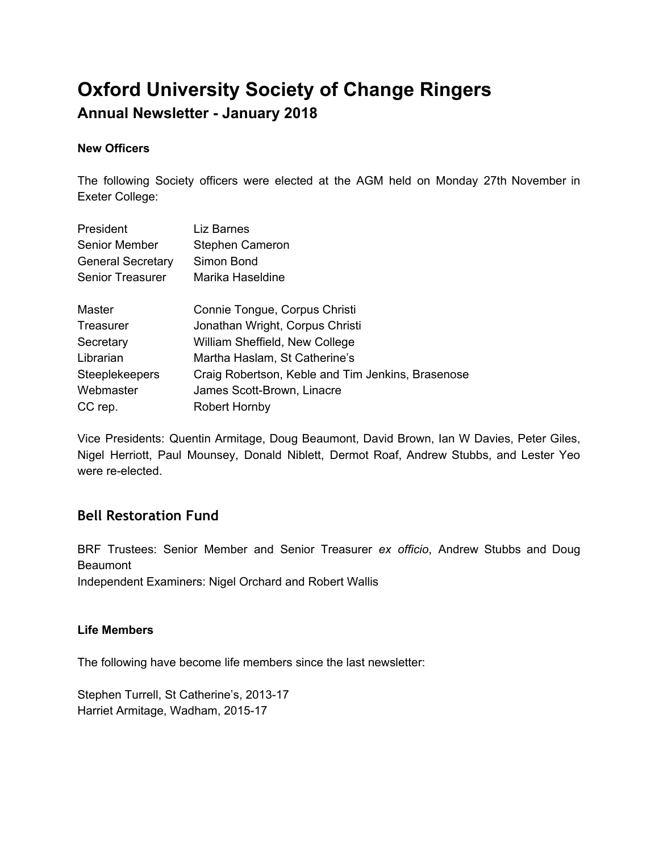# **Oxford University Society of Change Ringers**

# **Annual Newsletter - January 2018**

### **New Officers**

The following Society officers were elected at the AGM held on Monday 27th November in Exeter College:

| President                | Liz Barnes                                        |
|--------------------------|---------------------------------------------------|
| <b>Senior Member</b>     | Stephen Cameron                                   |
| <b>General Secretary</b> | Simon Bond                                        |
| <b>Senior Treasurer</b>  | Marika Haseldine                                  |
| Master                   | Connie Tongue, Corpus Christi                     |
| Treasurer                | Jonathan Wright, Corpus Christi                   |
| Secretary                | William Sheffield, New College                    |
| Librarian                | Martha Haslam, St Catherine's                     |
| <b>Steeplekeepers</b>    | Craig Robertson, Keble and Tim Jenkins, Brasenose |
| Webmaster                | James Scott-Brown, Linacre                        |
| CC rep.                  | <b>Robert Hornby</b>                              |

Vice Presidents: Quentin Armitage, Doug Beaumont, David Brown, Ian W Davies, Peter Giles, Nigel Herriott, Paul Mounsey, Donald Niblett, Dermot Roaf, Andrew Stubbs, and Lester Yeo were re-elected.

# **Bell Restoration Fund**

BRF Trustees: Senior Member and Senior Treasurer *ex officio*, Andrew Stubbs and Doug **Beaumont** Independent Examiners: Nigel Orchard and Robert Wallis

### **Life Members**

The following have become life members since the last newsletter:

Stephen Turrell, St Catherine's, 2013-17 Harriet Armitage, Wadham, 2015-17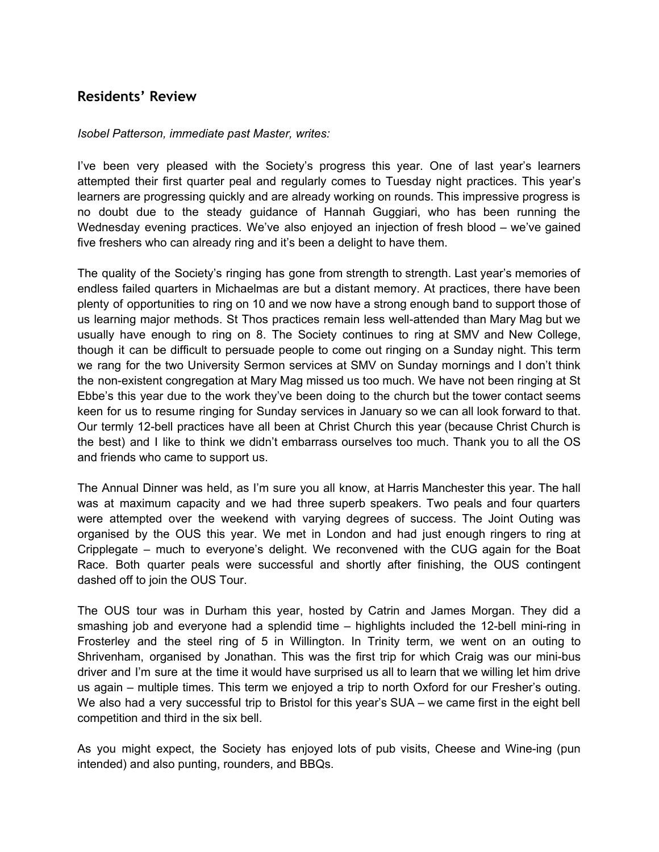## **Residents' Review**

#### *Isobel Patterson, immediate past Master, writes:*

I've been very pleased with the Society's progress this year. One of last year's learners attempted their first quarter peal and regularly comes to Tuesday night practices. This year's learners are progressing quickly and are already working on rounds. This impressive progress is no doubt due to the steady guidance of Hannah Guggiari, who has been running the Wednesday evening practices. We've also enjoyed an injection of fresh blood – we've gained five freshers who can already ring and it's been a delight to have them.

The quality of the Society's ringing has gone from strength to strength. Last year's memories of endless failed quarters in Michaelmas are but a distant memory. At practices, there have been plenty of opportunities to ring on 10 and we now have a strong enough band to support those of us learning major methods. St Thos practices remain less well-attended than Mary Mag but we usually have enough to ring on 8. The Society continues to ring at SMV and New College, though it can be difficult to persuade people to come out ringing on a Sunday night. This term we rang for the two University Sermon services at SMV on Sunday mornings and I don't think the non-existent congregation at Mary Mag missed us too much. We have not been ringing at St Ebbe's this year due to the work they've been doing to the church but the tower contact seems keen for us to resume ringing for Sunday services in January so we can all look forward to that. Our termly 12-bell practices have all been at Christ Church this year (because Christ Church is the best) and I like to think we didn't embarrass ourselves too much. Thank you to all the OS and friends who came to support us.

The Annual Dinner was held, as I'm sure you all know, at Harris Manchester this year. The hall was at maximum capacity and we had three superb speakers. Two peals and four quarters were attempted over the weekend with varying degrees of success. The Joint Outing was organised by the OUS this year. We met in London and had just enough ringers to ring at Cripplegate – much to everyone's delight. We reconvened with the CUG again for the Boat Race. Both quarter peals were successful and shortly after finishing, the OUS contingent dashed off to join the OUS Tour.

The OUS tour was in Durham this year, hosted by Catrin and James Morgan. They did a smashing job and everyone had a splendid time – highlights included the 12-bell mini-ring in Frosterley and the steel ring of 5 in Willington. In Trinity term, we went on an outing to Shrivenham, organised by Jonathan. This was the first trip for which Craig was our mini-bus driver and I'm sure at the time it would have surprised us all to learn that we willing let him drive us again – multiple times. This term we enjoyed a trip to north Oxford for our Fresher's outing. We also had a very successful trip to Bristol for this year's SUA – we came first in the eight bell competition and third in the six bell.

As you might expect, the Society has enjoyed lots of pub visits, Cheese and Wine-ing (pun intended) and also punting, rounders, and BBQs.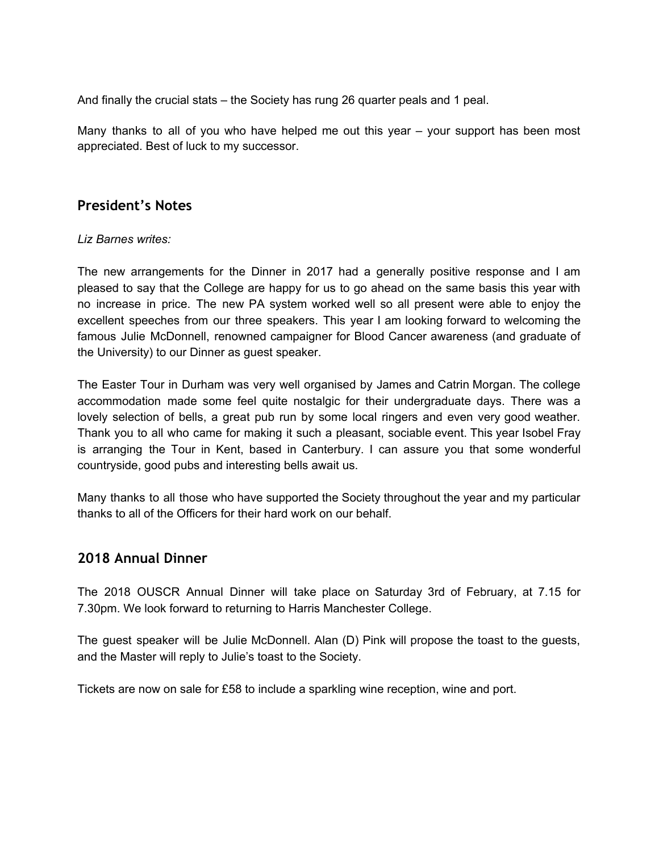And finally the crucial stats – the Society has rung 26 quarter peals and 1 peal.

Many thanks to all of you who have helped me out this year – your support has been most appreciated. Best of luck to my successor.

### **President's Notes**

#### *Liz Barnes writes:*

The new arrangements for the Dinner in 2017 had a generally positive response and I am pleased to say that the College are happy for us to go ahead on the same basis this year with no increase in price. The new PA system worked well so all present were able to enjoy the excellent speeches from our three speakers. This year I am looking forward to welcoming the famous Julie McDonnell, renowned campaigner for Blood Cancer awareness (and graduate of the University) to our Dinner as guest speaker.

The Easter Tour in Durham was very well organised by James and Catrin Morgan. The college accommodation made some feel quite nostalgic for their undergraduate days. There was a lovely selection of bells, a great pub run by some local ringers and even very good weather. Thank you to all who came for making it such a pleasant, sociable event. This year Isobel Fray is arranging the Tour in Kent, based in Canterbury. I can assure you that some wonderful countryside, good pubs and interesting bells await us.

Many thanks to all those who have supported the Society throughout the year and my particular thanks to all of the Officers for their hard work on our behalf.

### **2018 Annual Dinner**

The 2018 OUSCR Annual Dinner will take place on Saturday 3rd of February, at 7.15 for 7.30pm. We look forward to returning to Harris Manchester College.

The guest speaker will be Julie McDonnell. Alan (D) Pink will propose the toast to the guests, and the Master will reply to Julie's toast to the Society.

Tickets are now on sale for £58 to include a sparkling wine reception, wine and port.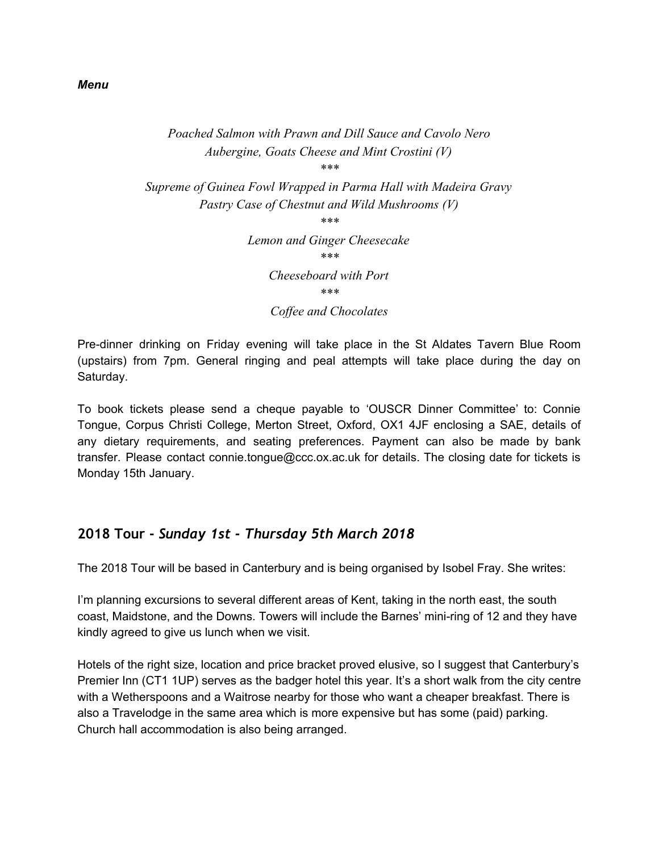#### *Menu*

#### *Poached Salmon with Prawn and Dill Sauce and Cavolo Nero Aubergine, Goats Cheese and Mint Crostini (V) \*\*\**

*Supreme of Guinea Fowl Wrapped in Parma Hall with Madeira Gravy Pastry Case of Chestnut and Wild Mushrooms (V)*

*\*\*\**

*Lemon and Ginger Cheesecake*

*Cheeseboard with Port*

*\*\*\**

*Coffee and Chocolates*

Pre-dinner drinking on Friday evening will take place in the St Aldates Tavern Blue Room (upstairs) from 7pm. General ringing and peal attempts will take place during the day on Saturday.

To book tickets please send a cheque payable to 'OUSCR Dinner Committee' to: Connie Tongue, Corpus Christi College, Merton Street, Oxford, OX1 4JF enclosing a SAE, details of any dietary requirements, and seating preferences. Payment can also be made by bank transfer. Please contact connie.tongue@ccc.ox.ac.uk for details. The closing date for tickets is Monday 15th January.

### **2018 Tour -** *Sunday 1st - Thursday 5th March 2018*

The 2018 Tour will be based in Canterbury and is being organised by Isobel Fray. She writes:

I'm planning excursions to several different areas of Kent, taking in the north east, the south coast, Maidstone, and the Downs. Towers will include the Barnes' mini-ring of 12 and they have kindly agreed to give us lunch when we visit.

Hotels of the right size, location and price bracket proved elusive, so I suggest that Canterbury's Premier Inn (CT1 1UP) serves as the badger hotel this year. It's a short walk from the city centre with a Wetherspoons and a Waitrose nearby for those who want a cheaper breakfast. There is also a Travelodge in the same area which is more expensive but has some (paid) parking. Church hall accommodation is also being arranged.

*<sup>\*\*\*</sup>*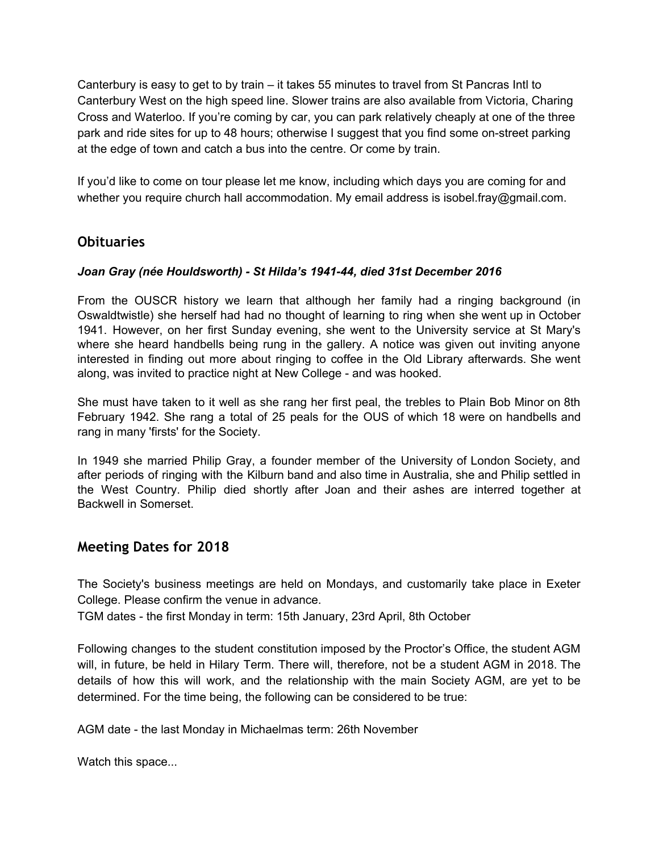Canterbury is easy to get to by train – it takes 55 minutes to travel from St Pancras Intl to Canterbury West on the high speed line. Slower trains are also available from Victoria, Charing Cross and Waterloo. If you're coming by car, you can park relatively cheaply at one of the three park and ride sites for up to 48 hours; otherwise I suggest that you find some on-street parking at the edge of town and catch a bus into the centre. Or come by train.

If you'd like to come on tour please let me know, including which days you are coming for and whether you require church hall accommodation. My email address is isobel.fray@gmail.com.

### **Obituaries**

### *Joan Gray (née Houldsworth) - St Hilda's 1941-44, died 31st December 2016*

From the OUSCR history we learn that although her family had a ringing background (in Oswaldtwistle) she herself had had no thought of learning to ring when she went up in October 1941. However, on her first Sunday evening, she went to the University service at St Mary's where she heard handbells being rung in the gallery. A notice was given out inviting anyone interested in finding out more about ringing to coffee in the Old Library afterwards. She went along, was invited to practice night at New College - and was hooked.

She must have taken to it well as she rang her first peal, the trebles to Plain Bob Minor on 8th February 1942. She rang a total of 25 peals for the OUS of which 18 were on handbells and rang in many 'firsts' for the Society.

In 1949 she married Philip Gray, a founder member of the University of London Society, and after periods of ringing with the Kilburn band and also time in Australia, she and Philip settled in the West Country. Philip died shortly after Joan and their ashes are interred together at Backwell in Somerset.

### **Meeting Dates for 2018**

The Society's business meetings are held on Mondays, and customarily take place in Exeter College. Please confirm the venue in advance.

TGM dates - the first Monday in term: 15th January, 23rd April, 8th October

Following changes to the student constitution imposed by the Proctor's Office, the student AGM will, in future, be held in Hilary Term. There will, therefore, not be a student AGM in 2018. The details of how this will work, and the relationship with the main Society AGM, are yet to be determined. For the time being, the following can be considered to be true:

AGM date - the last Monday in Michaelmas term: 26th November

Watch this space...